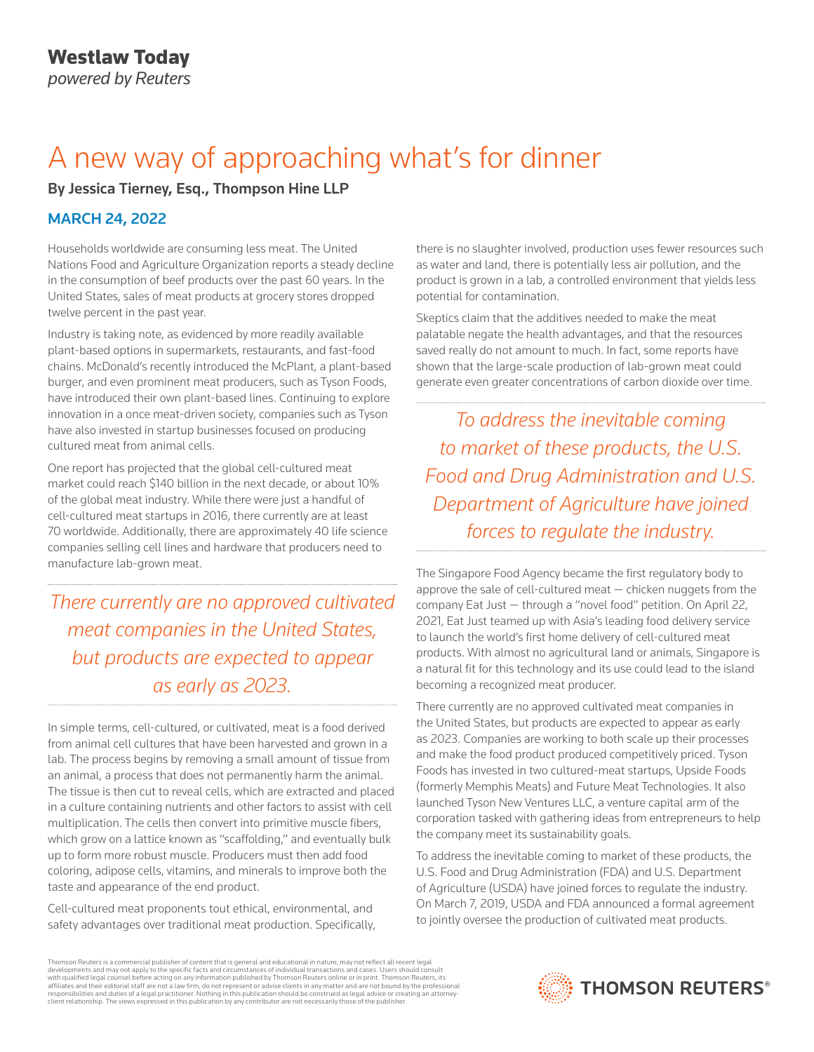## A new way of approaching what's for dinner

By Jessica Tierney, Esq., Thompson Hine LLP

## MARCH 24, 2022

Households worldwide are consuming less meat. The United Nations Food and Agriculture Organization reports a steady decline in the consumption of beef products over the past 60 years. In the United States, sales of meat products at grocery stores dropped twelve percent in the past year.

Industry is taking note, as evidenced by more readily available plant-based options in supermarkets, restaurants, and fast-food chains. McDonald's recently introduced the McPlant, a plant-based burger, and even prominent meat producers, such as Tyson Foods, have introduced their own plant-based lines. Continuing to explore innovation in a once meat-driven society, companies such as Tyson have also invested in startup businesses focused on producing cultured meat from animal cells.

One report has projected that the global cell-cultured meat market could reach \$140 billion in the next decade, or about 10% of the global meat industry. While there were just a handful of cell-cultured meat startups in 2016, there currently are at least 70 worldwide. Additionally, there are approximately 40 life science companies selling cell lines and hardware that producers need to manufacture lab-grown meat.

*There currently are no approved cultivated meat companies in the United States, but products are expected to appear as early as 2023.*

In simple terms, cell-cultured, or cultivated, meat is a food derived from animal cell cultures that have been harvested and grown in a lab. The process begins by removing a small amount of tissue from an animal, a process that does not permanently harm the animal. The tissue is then cut to reveal cells, which are extracted and placed in a culture containing nutrients and other factors to assist with cell multiplication. The cells then convert into primitive muscle fibers, which grow on a lattice known as "scaffolding," and eventually bulk up to form more robust muscle. Producers must then add food coloring, adipose cells, vitamins, and minerals to improve both the taste and appearance of the end product.

Cell-cultured meat proponents tout ethical, environmental, and safety advantages over traditional meat production. Specifically, there is no slaughter involved, production uses fewer resources such as water and land, there is potentially less air pollution, and the product is grown in a lab, a controlled environment that yields less potential for contamination.

Skeptics claim that the additives needed to make the meat palatable negate the health advantages, and that the resources saved really do not amount to much. In fact, some reports have shown that the large-scale production of lab-grown meat could generate even greater concentrations of carbon dioxide over time.

*To address the inevitable coming to market of these products, the U.S. Food and Drug Administration and U.S. Department of Agriculture have joined forces to regulate the industry.*

The Singapore Food Agency became the first regulatory body to approve the sale of cell-cultured meat — chicken nuggets from the company Eat Just — through a "novel food" petition. On April 22, 2021, Eat Just teamed up with Asia's leading food delivery service to launch the world's first home delivery of cell-cultured meat products. With almost no agricultural land or animals, Singapore is a natural fit for this technology and its use could lead to the island becoming a recognized meat producer.

There currently are no approved cultivated meat companies in the United States, but products are expected to appear as early as 2023. Companies are working to both scale up their processes and make the food product produced competitively priced. Tyson Foods has invested in two cultured-meat startups, Upside Foods (formerly Memphis Meats) and Future Meat Technologies. It also launched Tyson New Ventures LLC, a venture capital arm of the corporation tasked with gathering ideas from entrepreneurs to help the company meet its sustainability goals.

To address the inevitable coming to market of these products, the U.S. Food and Drug Administration (FDA) and U.S. Department of Agriculture (USDA) have joined forces to regulate the industry. On March 7, 2019, USDA and FDA announced a formal agreement to jointly oversee the production of cultivated meat products.

Thomson Reuters is a commercial publisher of content that is general and educational in nature, may not reflect all recent legal developments and may not apply to the specific facts and circumstances of individual transactions and cases. Users should consult<br>with qualified legal counsel before acting on any information published by Thomson Reuters o responsibilities and duties of a legal practitioner. Nothing in this publication should be construed as legal advice or creating an attorneyclient relationship. The views expressed in this publication by any contributor are not necessarily those of the publisher.